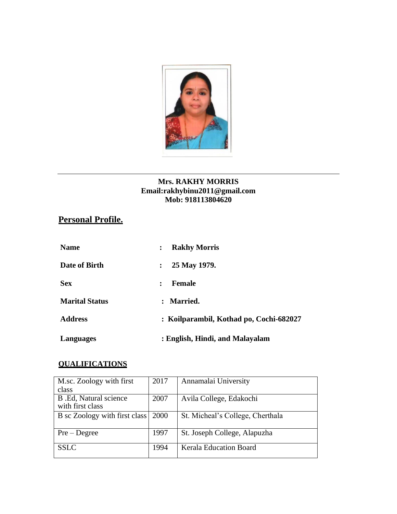

#### **Mrs. RAKHY MORRIS [Email:rakhybinu2011@gmail.com](mailto:rakhybinu2011@gmail.com) Mob: 918113804620**

# **Personal Profile.**

| <b>Name</b>           | <b>Rakhy Morris</b><br>:                |  |  |
|-----------------------|-----------------------------------------|--|--|
| Date of Birth         | 25 May 1979.<br>$\ddot{\phantom{a}}$    |  |  |
| <b>Sex</b>            | <b>Female</b><br>$\ddot{\cdot}$         |  |  |
| <b>Marital Status</b> | <b>Married.</b><br>$\ddot{\cdot}$       |  |  |
| <b>Address</b>        | : Koilparambil, Kothad po, Cochi-682027 |  |  |
| Languages             | : English, Hindi, and Malayalam         |  |  |

### **QUALIFICATIONS**

| M.sc. Zoology with first                  | 2017 | Annamalai University             |
|-------------------------------------------|------|----------------------------------|
| class                                     |      |                                  |
| B.Ed, Natural science<br>with first class | 2007 | Avila College, Edakochi          |
| B sc Zoology with first class             | 2000 | St. Micheal's College, Cherthala |
| $Pre-Degree$                              | 1997 | St. Joseph College, Alapuzha     |
| <b>SSLC</b>                               | 1994 | <b>Kerala Education Board</b>    |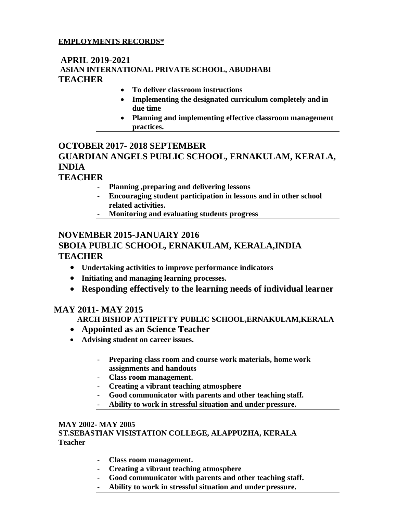### **EMPLOYMENTS RECORDS\***

### **APRIL 2019-2021 ASIAN INTERNATIONAL PRIVATE SCHOOL, ABUDHABI TEACHER**

- **To deliver classroom instructions**
- **Implementing the designated curriculum completely and in due time**
- **Planning and implementing effective classroom management practices.**

## **OCTOBER 2017- 2018 SEPTEMBER GUARDIAN ANGELS PUBLIC SCHOOL, ERNAKULAM, KERALA, INDIA**

### **TEACHER**

- **Planning ,preparing and delivering lessons**
- **Encouraging student participation in lessons and in other school related activities.**
- **Monitoring and evaluating students progress**

### **NOVEMBER 2015-JANUARY 2016 SBOIA PUBLIC SCHOOL, ERNAKULAM, KERALA,INDIA TEACHER**

- **Undertaking activities to improve performance indicators**
- **Initiating and managing learning processes.**
- **Responding effectively to the learning needs of individual learner**

### **MAY 2011- MAY 2015**

#### **ARCH BISHOP ATTIPETTY PUBLIC SCHOOL,ERNAKULAM,KERALA**

- **Appointed as an Science Teacher**
- **Advising student on career issues.**
	- **Preparing class room and course work materials, home work assignments and handouts**
	- **Class room management.**
	- **Creating a vibrant teaching atmosphere**
	- **Good communicator with parents and other teaching staff.**
	- **Ability to work in stressful situation and under pressure.**

#### **MAY 2002- MAY 2005**

**ST.SEBASTIAN VISISTATION COLLEGE, ALAPPUZHA, KERALA Teacher**

- **Class room management.**
- **Creating a vibrant teaching atmosphere**
- **Good communicator with parents and other teaching staff.**
- **Ability to work in stressful situation and under pressure.**